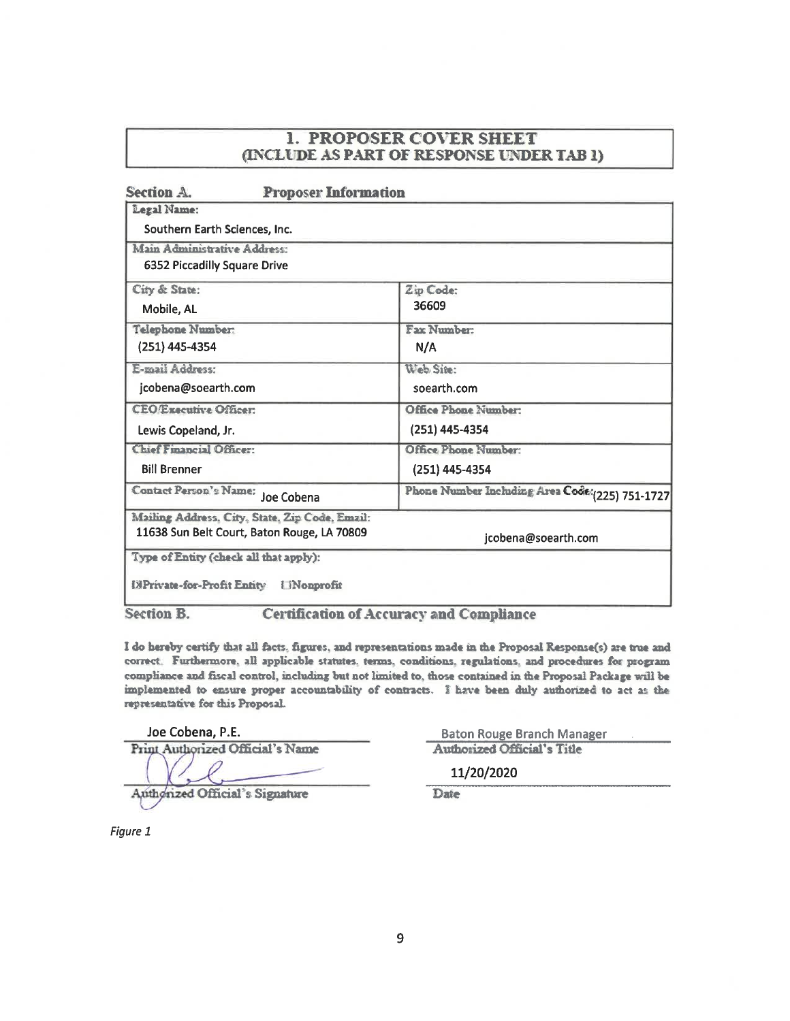| Section A.<br><b>Proposer Information</b>      |                                                  |  |
|------------------------------------------------|--------------------------------------------------|--|
| Legal Name:                                    |                                                  |  |
| Southern Earth Sciences, Inc.                  |                                                  |  |
| Main Administrative Address:                   |                                                  |  |
| <b>6352 Piccadilly Square Drive</b>            |                                                  |  |
| City & State:                                  | Zip Code:                                        |  |
| Mobile, AL                                     | 36609                                            |  |
| Telephone Number:                              | Fax Number:                                      |  |
| (251) 445-4354                                 | N/A                                              |  |
| E-mail Address:                                | Web Sine:                                        |  |
| jcobena@soearth.com                            | soearth.com                                      |  |
| <b>CEO/Executive Officer:</b>                  | Office Phone Number:                             |  |
| Lewis Copeland, Jr.                            | (251) 445-4354                                   |  |
| <b>Chief Financial Officer:</b>                | Office Phone Number:                             |  |
| <b>Bill Brenner</b>                            | (251) 445-4354                                   |  |
| Contact Person's Name: Joe Cobena              | Phone Number Including Area Code: (225) 751-1727 |  |
| Mailing Address, City, State, Zip Code, Email: |                                                  |  |
| 11638 Sun Belt Court, Baton Rouge, LA 70809    | jcobena@soearth.com                              |  |
| Type of Entity (check all that apply):         |                                                  |  |

**Section B. Certification of Accuracy and Compliance** 

I do hereby certify that all facts, figures, and representations made in the Proposal Response(s) are true and correct. Furthermore, all applicable statutes, terms, conditions, regulations, and procedures for program compliance and fiscal control, including but not limited to, those contained in the Proposal Package will be implemented to ensure proper accountability of contracts. I have been duly authorized to act as the representative for this Proposal.

Joe Cobena, P.E.

Print Authorized Official's Name

Authorized Official's Signature

**Baton Rouge Branch Manager Authorized Official's Title** 

11/20/2020

Date

Figure 1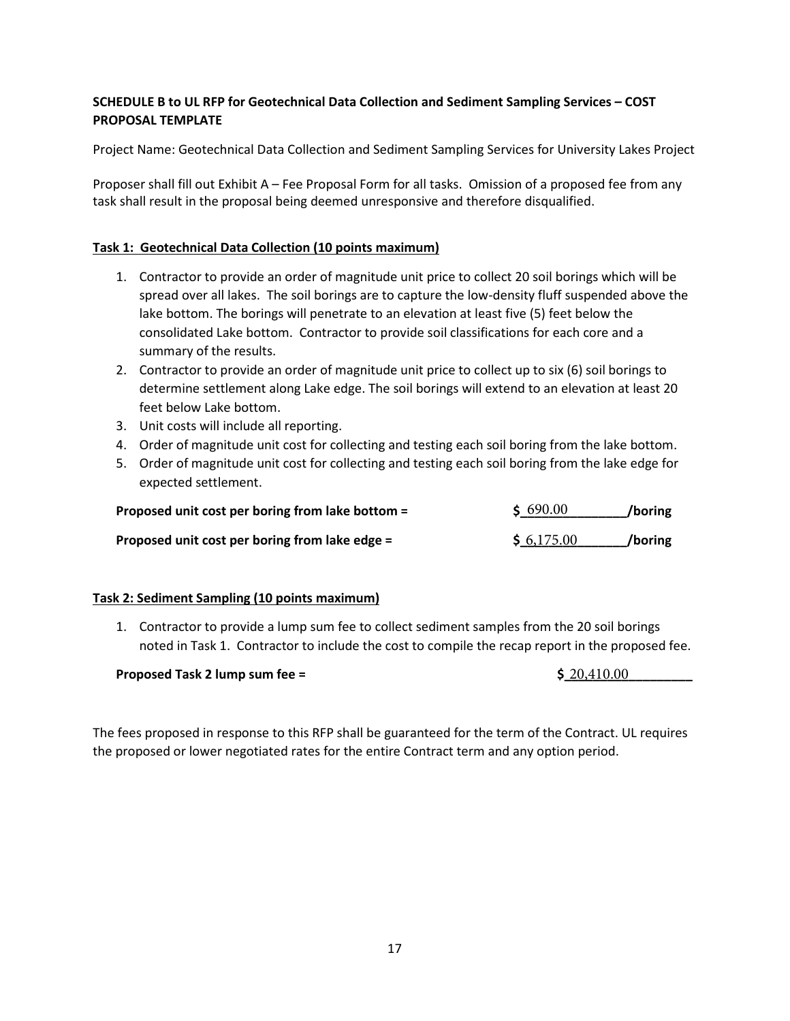# **SCHEDULE B to UL RFP for Geotechnical Data Collection and Sediment Sampling Services – COST PROPOSAL TEMPLATE**

Project Name: Geotechnical Data Collection and Sediment Sampling Services for University Lakes Project

Proposer shall fill out Exhibit A – Fee Proposal Form for all tasks. Omission of a proposed fee from any task shall result in the proposal being deemed unresponsive and therefore disqualified.

# **Task 1: Geotechnical Data Collection (10 points maximum)**

- 1. Contractor to provide an order of magnitude unit price to collect 20 soil borings which will be spread over all lakes. The soil borings are to capture the low-density fluff suspended above the lake bottom. The borings will penetrate to an elevation at least five (5) feet below the consolidated Lake bottom. Contractor to provide soil classifications for each core and a summary of the results.
- 2. Contractor to provide an order of magnitude unit price to collect up to six (6) soil borings to determine settlement along Lake edge. The soil borings will extend to an elevation at least 20 feet below Lake bottom.
- 3. Unit costs will include all reporting.
- 4. Order of magnitude unit cost for collecting and testing each soil boring from the lake bottom.
- 5. Order of magnitude unit cost for collecting and testing each soil boring from the lake edge for expected settlement.

| Proposed unit cost per boring from lake bottom = | \$690.00   | /boring |
|--------------------------------------------------|------------|---------|
| Proposed unit cost per boring from lake edge =   | \$6,175.00 | /boring |

# **Task 2: Sediment Sampling (10 points maximum)**

1. Contractor to provide a lump sum fee to collect sediment samples from the 20 soil borings noted in Task 1. Contractor to include the cost to compile the recap report in the proposed fee.

#### **Proposed Task 2 lump sum fee = \$\_\_\_\_\_\_\_\_\_\_\_\_\_\_\_\_\_\_**

 $$20,410.00$ 

The fees proposed in response to this RFP shall be guaranteed for the term of the Contract. UL requires the proposed or lower negotiated rates for the entire Contract term and any option period.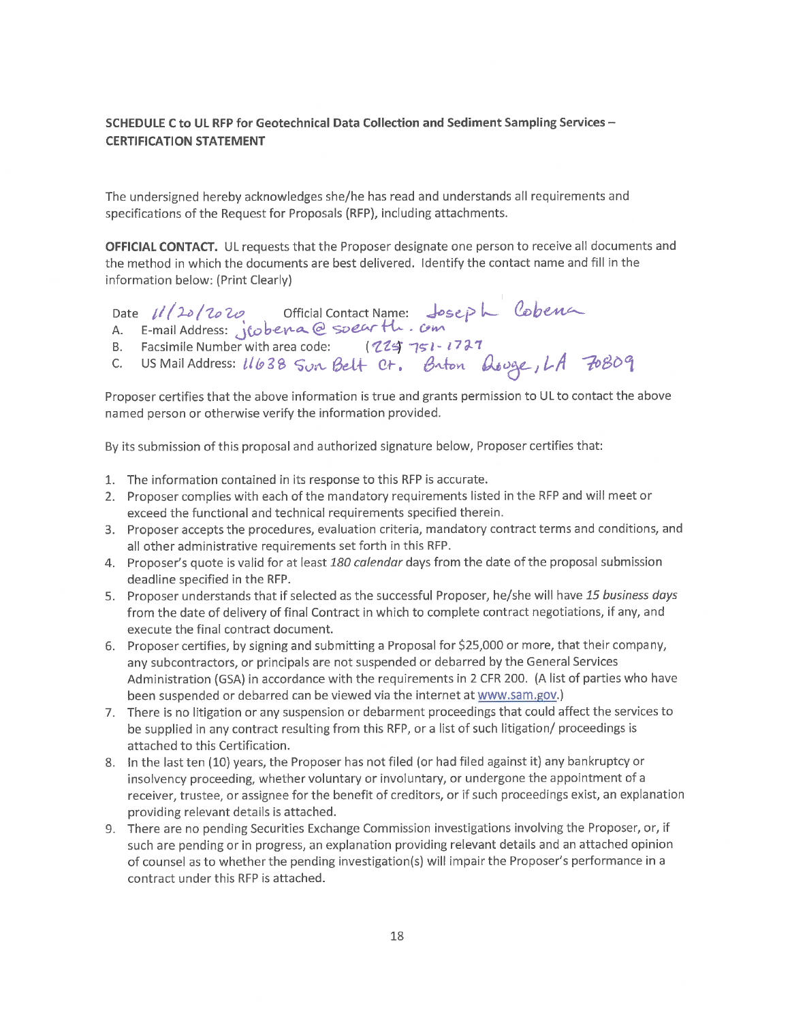### SCHEDULE C to UL RFP for Geotechnical Data Collection and Sediment Sampling Services -**CERTIFICATION STATEMENT**

The undersigned hereby acknowledges she/he has read and understands all requirements and specifications of the Request for Proposals (RFP), including attachments.

**OFFICIAL CONTACT.** UL requests that the Proposer designate one person to receive all documents and the method in which the documents are best delivered. Identify the contact name and fill in the information below: (Print Clearly)



Proposer certifies that the above information is true and grants permission to UL to contact the above named person or otherwise verify the information provided.

By its submission of this proposal and authorized signature below, Proposer certifies that:

- 1. The information contained in its response to this RFP is accurate.
- 2. Proposer complies with each of the mandatory requirements listed in the RFP and will meet or exceed the functional and technical requirements specified therein.
- 3. Proposer accepts the procedures, evaluation criteria, mandatory contract terms and conditions, and all other administrative requirements set forth in this RFP.
- 4. Proposer's quote is valid for at least 180 calendar days from the date of the proposal submission deadline specified in the RFP.
- 5. Proposer understands that if selected as the successful Proposer, he/she will have 15 business days from the date of delivery of final Contract in which to complete contract negotiations, if any, and execute the final contract document.
- 6. Proposer certifies, by signing and submitting a Proposal for \$25,000 or more, that their company, any subcontractors, or principals are not suspended or debarred by the General Services Administration (GSA) in accordance with the requirements in 2 CFR 200. (A list of parties who have been suspended or debarred can be viewed via the internet at www.sam.gov.)
- 7. There is no litigation or any suspension or debarment proceedings that could affect the services to be supplied in any contract resulting from this RFP, or a list of such litigation/ proceedings is attached to this Certification.
- 8. In the last ten (10) years, the Proposer has not filed (or had filed against it) any bankruptcy or insolvency proceeding, whether voluntary or involuntary, or undergone the appointment of a receiver, trustee, or assignee for the benefit of creditors, or if such proceedings exist, an explanation providing relevant details is attached.
- 9. There are no pending Securities Exchange Commission investigations involving the Proposer, or, if such are pending or in progress, an explanation providing relevant details and an attached opinion of counsel as to whether the pending investigation(s) will impair the Proposer's performance in a contract under this RFP is attached.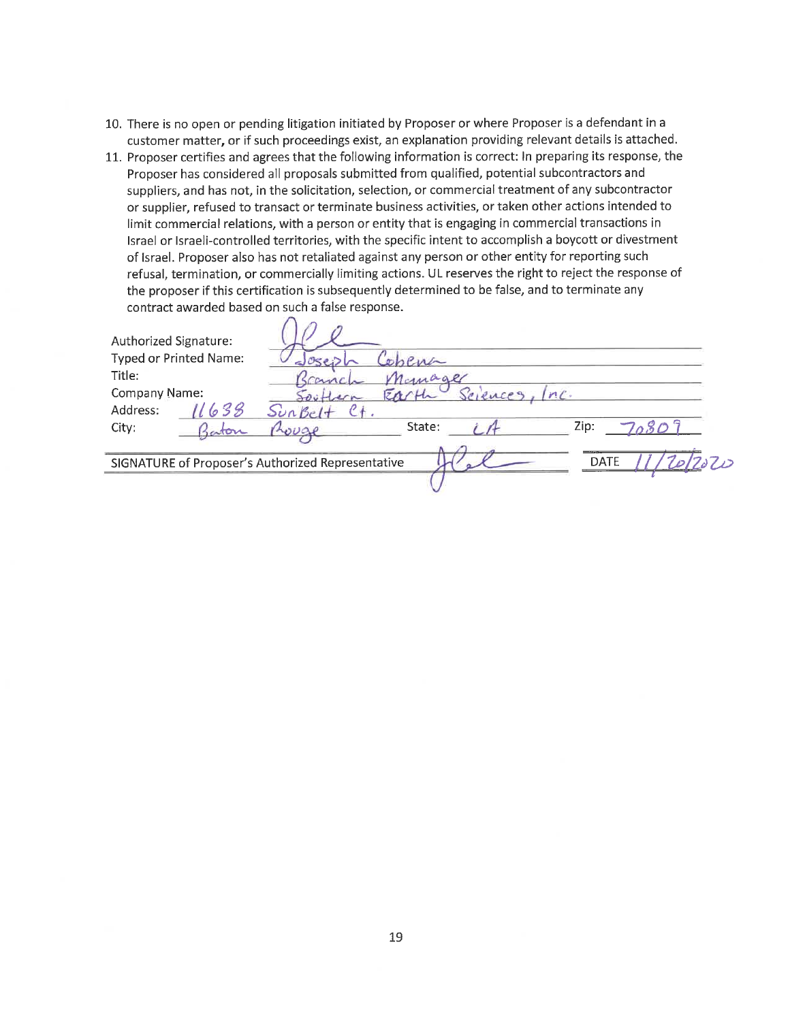- 10. There is no open or pending litigation initiated by Proposer or where Proposer is a defendant in a customer matter, or if such proceedings exist, an explanation providing relevant details is attached.
- 11. Proposer certifies and agrees that the following information is correct: In preparing its response, the Proposer has considered all proposals submitted from qualified, potential subcontractors and suppliers, and has not, in the solicitation, selection, or commercial treatment of any subcontractor or supplier, refused to transact or terminate business activities, or taken other actions intended to limit commercial relations, with a person or entity that is engaging in commercial transactions in Israel or Israeli-controlled territories, with the specific intent to accomplish a boycott or divestment of Israel. Proposer also has not retaliated against any person or other entity for reporting such refusal, termination, or commercially limiting actions. UL reserves the right to reject the response of the proposer if this certification is subsequently determined to be false, and to terminate any contract awarded based on such a false response.

| Authorized Signature: | Typed or Printed Name: |                                                                  |  |
|-----------------------|------------------------|------------------------------------------------------------------|--|
| Title:                |                        | Temager                                                          |  |
| Company Name:         |                        | Selences<br>$n$ .                                                |  |
| Address:              | 638                    |                                                                  |  |
| City:                 | aton                   | Zip:<br>State:<br>wuar                                           |  |
|                       |                        | <b>DATE</b><br>SIGNATURE of Proposer's Authorized Representative |  |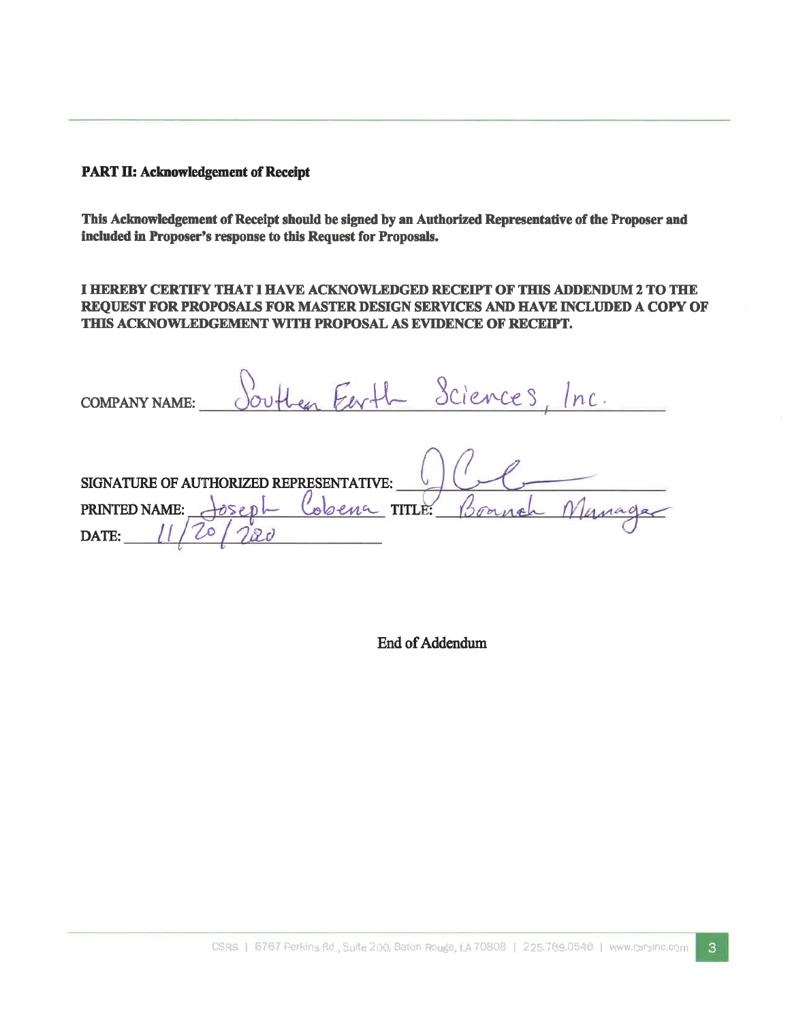# **PART II: Acknowledgement of Receipt**

This Acknowledgement of Receipt should be signed by an Authorized Representative of the Proposer and included in Proposer's response to this Request for Proposals.

I HEREBY CERTIFY THAT I HAVE ACKNOWLEDGED RECEIPT OF THIS ADDENDUM 2 TO THE REQUEST FOR PROPOSALS FOR MASTER DESIGN SERVICES AND HAVE INCLUDED A COPY OF THIS ACKNOWLEDGEMENT WITH PROPOSAL AS EVIDENCE OF RECEIPT.

Len Eerth Sciences, Inc. **COMPANY NAME:** 

Manage SIGNATURE OF AUTHORIZED REPRESENTATIVE: Cobena TITLE PRINTED NAME: Spanish DATE:

End of Addendum